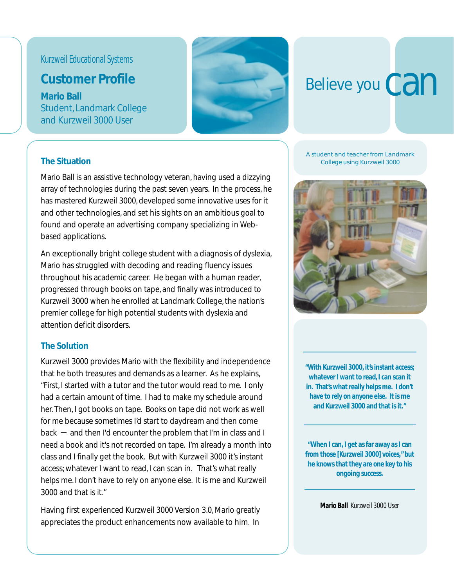## Kurzweil Educational Systems

# **Customer Profile**

**Mario Ball** Student, Landmark College and Kurzweil 3000 User



# Believe you Can

#### **The Situation**

Mario Ball is an assistive technology veteran, having used a dizzying array of technologies during the past seven years. In the process, he has mastered Kurzweil 3000, developed some innovative uses for it and other technologies, and set his sights on an ambitious goal to found and operate an advertising company specializing in Webbased applications.

An exceptionally bright college student with a diagnosis of dyslexia, Mario has struggled with decoding and reading fluency issues throughout his academic career. He began with a human reader, progressed through books on tape, and finally was introduced to Kurzweil 3000 when he enrolled at Landmark College, the nation's premier college for high potential students with dyslexia and attention deficit disorders.

#### **The Solution**

Kurzweil 3000 provides Mario with the flexibility and independence that he both treasures and demands as a learner. As he explains, "First, I started with a tutor and the tutor would read to me. I only had a certain amount of time. I had to make my schedule around her. Then, I got books on tape. Books on tape did not work as well for me because sometimes I'd start to daydream and then come back  $-$  and then I'd encounter the problem that I'm in class and I need a book and it's not recorded on tape. I'm already a month into class and I finally get the book. But with Kurzweil 3000 it's instant access; whatever I want to read, I can scan in. That's what really helps me. I don't have to rely on anyone else. It is me and Kurzweil 3000 and that is it."

Having first experienced Kurzweil 3000 Version 3.0, Mario greatly appreciates the product enhancements now available to him. In

*A student and teacher from Landmark College using Kurzweil 3000*



**"With Kurzweil 3000, it's instant access; whatever I want to read, I can scan it in. That's what really helps me. I don't have to rely on anyone else. It is me and Kurzweil 3000 and that is it."**

**"When I can, I get as far away as I can from those [Kurzweil 3000] voices," but he knows that they are one key to his ongoing success.**

*Mario Ball Kurzweil 3000 User*